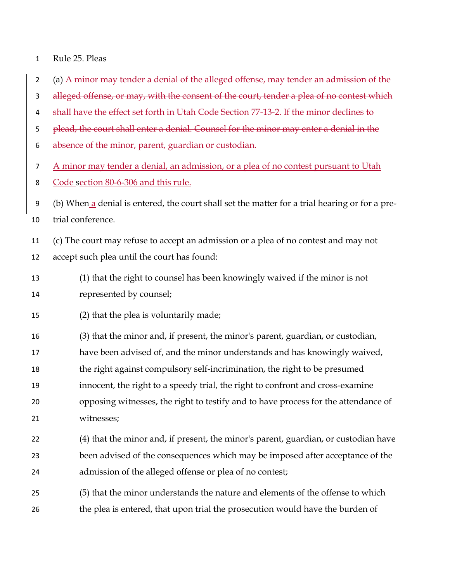| Rule 25. Pleas |
|----------------|
|                |

- 2 (a) A minor may tender a denial of the alleged offense, may tender an admission of the
- 3 alleged offense, or may, with the consent of the court, tender a plea of no contest which
- shall have the effect set forth in Utah Code Section 77-13-2. If the minor declines to
- 5 plead, the court shall enter a denial. Counsel for the minor may enter a denial in the
- absence of the minor, parent, guardian or custodian.

A minor may tender a denial, an admission, or a plea of no contest pursuant to Utah

- Code section 80-6-306 and this rule.
- (b) When a denial is entered, the court shall set the matter for a trial hearing or for a pre-trial conference.
- (c) The court may refuse to accept an admission or a plea of no contest and may not accept such plea until the court has found:
- (1) that the right to counsel has been knowingly waived if the minor is not represented by counsel;
- (2) that the plea is voluntarily made;
- (3) that the minor and, if present, the minor's parent, guardian, or custodian,
- have been advised of, and the minor understands and has knowingly waived,
- the right against compulsory self-incrimination, the right to be presumed
- innocent, the right to a speedy trial, the right to confront and cross-examine
- opposing witnesses, the right to testify and to have process for the attendance of witnesses;
- (4) that the minor and, if present, the minor's parent, guardian, or custodian have been advised of the consequences which may be imposed after acceptance of the admission of the alleged offense or plea of no contest;
- (5) that the minor understands the nature and elements of the offense to which 26 the plea is entered, that upon trial the prosecution would have the burden of